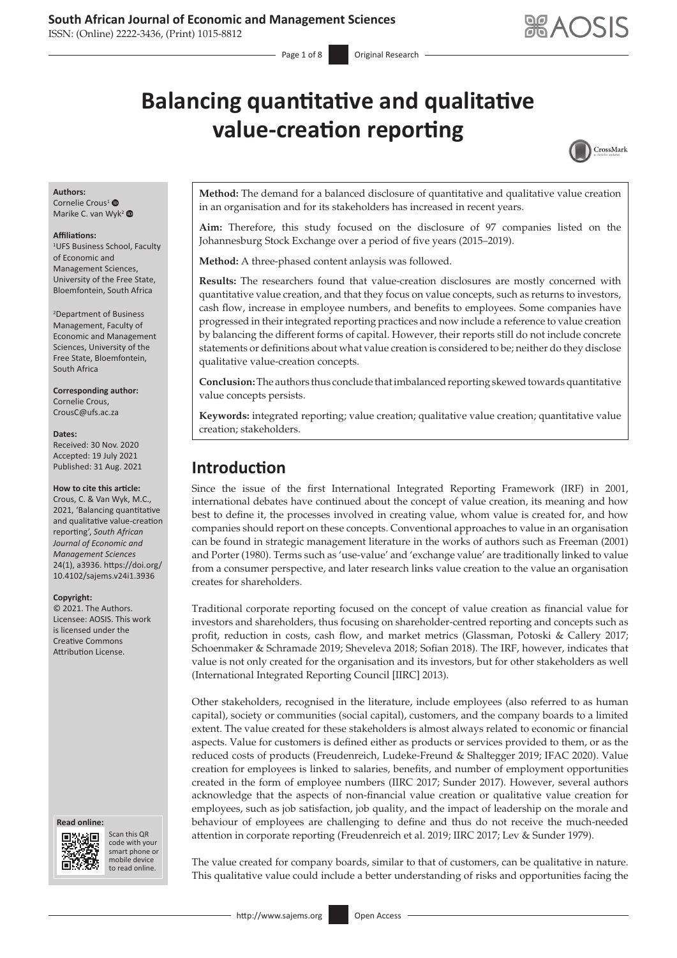ISSN: (Online) 2222-3436, (Print) 1015-8812

# **Balancing quantitative and qualitative value-creation reporting**



#### **Authors:**

Cornelie Crous<sup>[1](https://orcid.org/0000-0001-6478-2804)</sup><sup>®</sup> Marike C. van Wyk<sup>[2](https://orcid.org/0000-0001-7075-2396)</sup>

#### **Affiliations:**

1 UFS Business School, Faculty of Economic and Management Sciences, University of the Free State, Bloemfontein, South Africa

2 Department of Business Management, Faculty of Economic and Management Sciences, University of the Free State, Bloemfontein, South Africa

**Corresponding author:** Cornelie Crous, [CrousC@ufs.ac.za](mailto:CrousC@ufs.ac.za)

### **Dates:**

Received: 30 Nov. 2020 Accepted: 19 July 2021 Published: 31 Aug. 2021

#### **How to cite this article:**

Crous, C. & Van Wyk, M.C., 2021, 'Balancing quantitative and qualitative value-creation reporting', *South African Journal of Economic and Management Sciences* 24(1), a3936. [https://doi.org/](https://doi.org/10.4102/sajems.v24i1.3936) [10.4102/sajems.v24i1.3936](https://doi.org/10.4102/sajems.v24i1.3936)

#### **Copyright:**

© 2021. The Authors. Licensee: AOSIS. This work is licensed under the Creative Commons Attribution License.

#### **Read online: Read online:**



Scan this QR Scan this QR code with your smart phone or code with your smart phone or mobile device mobile device to read online. to read online.

**Method:** The demand for a balanced disclosure of quantitative and qualitative value creation in an organisation and for its stakeholders has increased in recent years.

**Aim:** Therefore, this study focused on the disclosure of 97 companies listed on the Johannesburg Stock Exchange over a period of five years (2015–2019).

**Method:** A three-phased content anlaysis was followed.

**Results:** The researchers found that value-creation disclosures are mostly concerned with quantitative value creation, and that they focus on value concepts, such as returns to investors, cash flow, increase in employee numbers, and benefits to employees. Some companies have progressed in their integrated reporting practices and now include a reference to value creation by balancing the different forms of capital. However, their reports still do not include concrete statements or definitions about what value creation is considered to be; neither do they disclose qualitative value-creation concepts.

**Conclusion:** The authors thus conclude that imbalanced reporting skewed towards quantitative value concepts persists.

**Keywords:** integrated reporting; value creation; qualitative value creation; quantitative value creation; stakeholders.

# **Introduction**

Since the issue of the first International Integrated Reporting Framework (IRF) in 2001, international debates have continued about the concept of value creation, its meaning and how best to define it, the processes involved in creating value, whom value is created for, and how companies should report on these concepts. Conventional approaches to value in an organisation can be found in strategic management literature in the works of authors such as Freeman (2001) and Porter (1980). Terms such as 'use-value' and 'exchange value' are traditionally linked to value from a consumer perspective, and later research links value creation to the value an organisation creates for shareholders.

Traditional corporate reporting focused on the concept of value creation as financial value for investors and shareholders, thus focusing on shareholder-centred reporting and concepts such as profit, reduction in costs, cash flow, and market metrics (Glassman, Potoski & Callery 2017; Schoenmaker & Schramade 2019; Sheveleva 2018; Sofian 2018). The IRF, however, indicates that value is not only created for the organisation and its investors, but for other stakeholders as well (International Integrated Reporting Council [IIRC] 2013).

Other stakeholders, recognised in the literature, include employees (also referred to as human capital), society or communities (social capital), customers, and the company boards to a limited extent. The value created for these stakeholders is almost always related to economic or financial aspects. Value for customers is defined either as products or services provided to them, or as the reduced costs of products (Freudenreich, Ludeke-Freund & Shaltegger 2019; IFAC 2020). Value creation for employees is linked to salaries, benefits, and number of employment opportunities created in the form of employee numbers (IIRC 2017; Sunder 2017). However, several authors acknowledge that the aspects of non-financial value creation or qualitative value creation for employees, such as job satisfaction, job quality, and the impact of leadership on the morale and behaviour of employees are challenging to define and thus do not receive the much-needed attention in corporate reporting (Freudenreich et al. 2019; IIRC 2017; Lev & Sunder 1979).

The value created for company boards, similar to that of customers, can be qualitative in nature. This qualitative value could include a better understanding of risks and opportunities facing the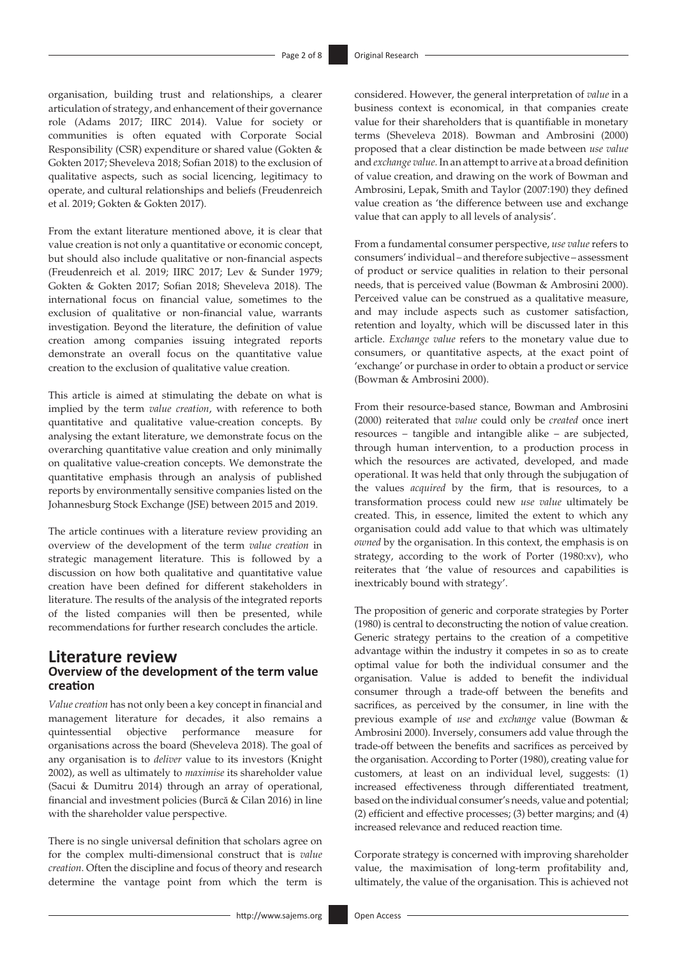organisation, building trust and relationships, a clearer articulation of strategy, and enhancement of their governance role (Adams 2017; IIRC 2014). Value for society or communities is often equated with Corporate Social Responsibility (CSR) expenditure or shared value (Gokten & Gokten 2017; Sheveleva 2018; Sofian 2018) to the exclusion of qualitative aspects, such as social licencing, legitimacy to operate, and cultural relationships and beliefs (Freudenreich et al. 2019; Gokten & Gokten 2017).

From the extant literature mentioned above, it is clear that value creation is not only a quantitative or economic concept, but should also include qualitative or non-financial aspects (Freudenreich et al. 2019; IIRC 2017; Lev & Sunder 1979; Gokten & Gokten 2017; Sofian 2018; Sheveleva 2018). The international focus on financial value, sometimes to the exclusion of qualitative or non-financial value, warrants investigation. Beyond the literature, the definition of value creation among companies issuing integrated reports demonstrate an overall focus on the quantitative value creation to the exclusion of qualitative value creation.

This article is aimed at stimulating the debate on what is implied by the term *value creation*, with reference to both quantitative and qualitative value-creation concepts. By analysing the extant literature, we demonstrate focus on the overarching quantitative value creation and only minimally on qualitative value-creation concepts. We demonstrate the quantitative emphasis through an analysis of published reports by environmentally sensitive companies listed on the Johannesburg Stock Exchange (JSE) between 2015 and 2019.

The article continues with a literature review providing an overview of the development of the term *value creation* in strategic management literature. This is followed by a discussion on how both qualitative and quantitative value creation have been defined for different stakeholders in literature. The results of the analysis of the integrated reports of the listed companies will then be presented, while recommendations for further research concludes the article.

# **Literature review Overview of the development of the term value creation**

*Value creation* has not only been a key concept in financial and management literature for decades, it also remains a quintessential objective performance measure for organisations across the board (Sheveleva 2018). The goal of any organisation is to *deliver* value to its investors (Knight 2002), as well as ultimately to *maximise* its shareholder value (Sacui & Dumitru 2014) through an array of operational, financial and investment policies (Burcă & Cilan 2016) in line with the shareholder value perspective.

There is no single universal definition that scholars agree on for the complex multi-dimensional construct that is *value creation*. Often the discipline and focus of theory and research determine the vantage point from which the term is

considered. However, the general interpretation of *value* in a business context is economical, in that companies create value for their shareholders that is quantifiable in monetary terms (Sheveleva 2018). Bowman and Ambrosini (2000) proposed that a clear distinction be made between *use value* and *exchange value.* In an attempt to arrive at a broad definition of value creation, and drawing on the work of Bowman and Ambrosini, Lepak, Smith and Taylor (2007:190) they defined value creation as 'the difference between use and exchange value that can apply to all levels of analysis'.

From a fundamental consumer perspective, *use value* refers to consumers' individual – and therefore subjective – assessment of product or service qualities in relation to their personal needs, that is perceived value (Bowman & Ambrosini 2000). Perceived value can be construed as a qualitative measure, and may include aspects such as customer satisfaction, retention and loyalty, which will be discussed later in this article. *Exchange value* refers to the monetary value due to consumers, or quantitative aspects, at the exact point of 'exchange' or purchase in order to obtain a product or service (Bowman & Ambrosini 2000).

From their resource-based stance, Bowman and Ambrosini (2000) reiterated that *value* could only be *created* once inert resources – tangible and intangible alike – are subjected, through human intervention, to a production process in which the resources are activated, developed, and made operational. It was held that only through the subjugation of the values *acquired* by the firm, that is resources, to a transformation process could new *use value* ultimately be created. This, in essence, limited the extent to which any organisation could add value to that which was ultimately *owned* by the organisation. In this context, the emphasis is on strategy, according to the work of Porter (1980:xv), who reiterates that 'the value of resources and capabilities is inextricably bound with strategy'.

The proposition of generic and corporate strategies by Porter (1980) is central to deconstructing the notion of value creation. Generic strategy pertains to the creation of a competitive advantage within the industry it competes in so as to create optimal value for both the individual consumer and the organisation. Value is added to benefit the individual consumer through a trade-off between the benefits and sacrifices, as perceived by the consumer, in line with the previous example of *use* and *exchange* value (Bowman & Ambrosini 2000). Inversely, consumers add value through the trade-off between the benefits and sacrifices as perceived by the organisation. According to Porter (1980), creating value for customers, at least on an individual level, suggests: (1) increased effectiveness through differentiated treatment, based on the individual consumer's needs, value and potential; (2) efficient and effective processes; (3) better margins; and (4) increased relevance and reduced reaction time.

Corporate strategy is concerned with improving shareholder value, the maximisation of long-term profitability and, ultimately, the value of the organisation. This is achieved not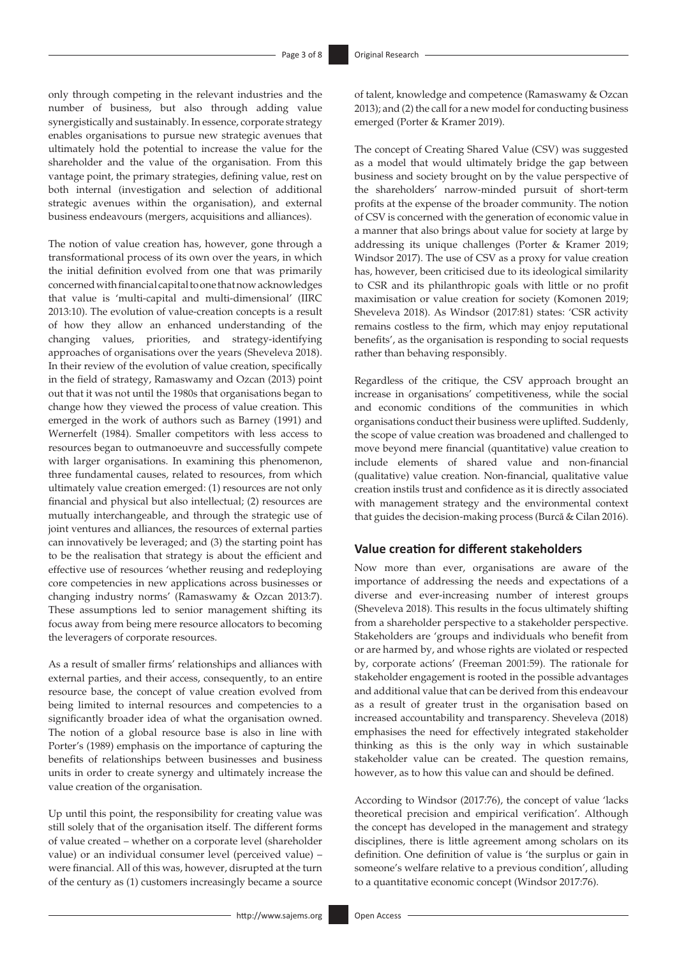only through competing in the relevant industries and the number of business, but also through adding value synergistically and sustainably. In essence, corporate strategy enables organisations to pursue new strategic avenues that ultimately hold the potential to increase the value for the shareholder and the value of the organisation. From this vantage point, the primary strategies, defining value, rest on both internal (investigation and selection of additional strategic avenues within the organisation), and external business endeavours (mergers, acquisitions and alliances).

The notion of value creation has, however, gone through a transformational process of its own over the years, in which the initial definition evolved from one that was primarily concerned with financial capital to one that now acknowledges that value is 'multi-capital and multi-dimensional' (IIRC 2013:10). The evolution of value-creation concepts is a result of how they allow an enhanced understanding of the changing values, priorities, and strategy-identifying approaches of organisations over the years (Sheveleva 2018). In their review of the evolution of value creation, specifically in the field of strategy, Ramaswamy and Ozcan (2013) point out that it was not until the 1980s that organisations began to change how they viewed the process of value creation. This emerged in the work of authors such as Barney (1991) and Wernerfelt (1984). Smaller competitors with less access to resources began to outmanoeuvre and successfully compete with larger organisations. In examining this phenomenon, three fundamental causes, related to resources, from which ultimately value creation emerged: (1) resources are not only financial and physical but also intellectual; (2) resources are mutually interchangeable, and through the strategic use of joint ventures and alliances, the resources of external parties can innovatively be leveraged; and (3) the starting point has to be the realisation that strategy is about the efficient and effective use of resources 'whether reusing and redeploying core competencies in new applications across businesses or changing industry norms' (Ramaswamy & Ozcan 2013:7). These assumptions led to senior management shifting its focus away from being mere resource allocators to becoming the leveragers of corporate resources.

As a result of smaller firms' relationships and alliances with external parties, and their access, consequently, to an entire resource base, the concept of value creation evolved from being limited to internal resources and competencies to a significantly broader idea of what the organisation owned. The notion of a global resource base is also in line with Porter's (1989) emphasis on the importance of capturing the benefits of relationships between businesses and business units in order to create synergy and ultimately increase the value creation of the organisation.

Up until this point, the responsibility for creating value was still solely that of the organisation itself. The different forms of value created – whether on a corporate level (shareholder value) or an individual consumer level (perceived value) – were financial. All of this was, however, disrupted at the turn of the century as (1) customers increasingly became a source

of talent, knowledge and competence (Ramaswamy & Ozcan 2013); and (2) the call for a new model for conducting business emerged (Porter & Kramer 2019).

The concept of Creating Shared Value (CSV) was suggested as a model that would ultimately bridge the gap between business and society brought on by the value perspective of the shareholders' narrow-minded pursuit of short-term profits at the expense of the broader community. The notion of CSV is concerned with the generation of economic value in a manner that also brings about value for society at large by addressing its unique challenges (Porter & Kramer 2019; Windsor 2017). The use of CSV as a proxy for value creation has, however, been criticised due to its ideological similarity to CSR and its philanthropic goals with little or no profit maximisation or value creation for society (Komonen 2019; Sheveleva 2018). As Windsor (2017:81) states: 'CSR activity remains costless to the firm, which may enjoy reputational benefits', as the organisation is responding to social requests rather than behaving responsibly.

Regardless of the critique, the CSV approach brought an increase in organisations' competitiveness, while the social and economic conditions of the communities in which organisations conduct their business were uplifted. Suddenly, the scope of value creation was broadened and challenged to move beyond mere financial (quantitative) value creation to include elements of shared value and non-financial (qualitative) value creation. Non-financial, qualitative value creation instils trust and confidence as it is directly associated with management strategy and the environmental context that guides the decision-making process (Burcă & Cilan 2016).

## **Value creation for different stakeholders**

Now more than ever, organisations are aware of the importance of addressing the needs and expectations of a diverse and ever-increasing number of interest groups (Sheveleva 2018). This results in the focus ultimately shifting from a shareholder perspective to a stakeholder perspective. Stakeholders are 'groups and individuals who benefit from or are harmed by, and whose rights are violated or respected by, corporate actions' (Freeman 2001:59). The rationale for stakeholder engagement is rooted in the possible advantages and additional value that can be derived from this endeavour as a result of greater trust in the organisation based on increased accountability and transparency. Sheveleva (2018) emphasises the need for effectively integrated stakeholder thinking as this is the only way in which sustainable stakeholder value can be created. The question remains, however, as to how this value can and should be defined.

According to Windsor (2017:76), the concept of value 'lacks theoretical precision and empirical verification'. Although the concept has developed in the management and strategy disciplines, there is little agreement among scholars on its definition. One definition of value is 'the surplus or gain in someone's welfare relative to a previous condition', alluding to a quantitative economic concept (Windsor 2017:76).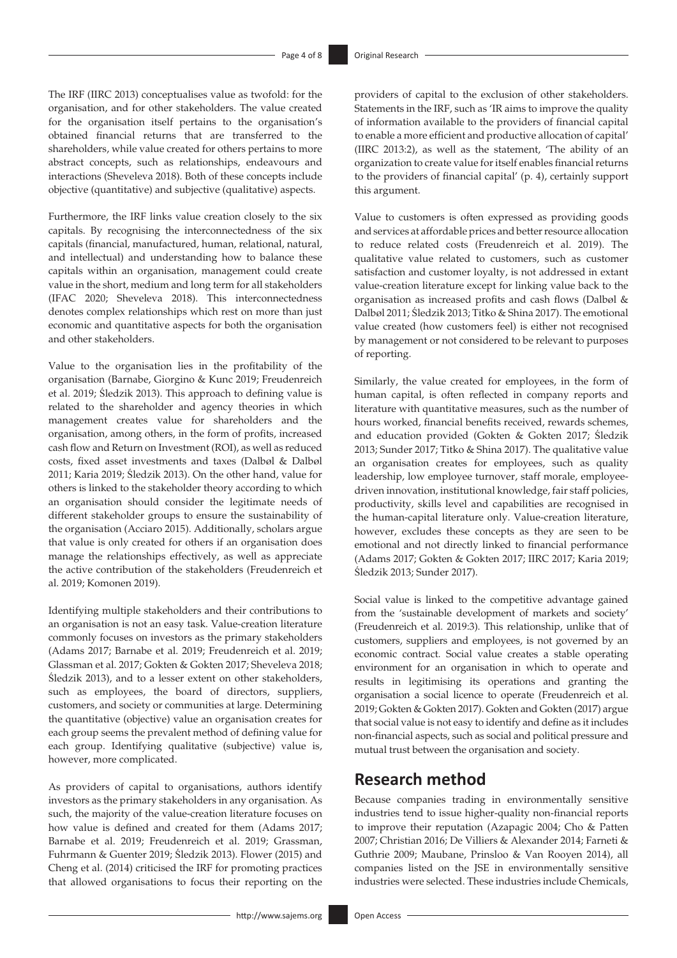The IRF (IIRC 2013) conceptualises value as twofold: for the organisation, and for other stakeholders. The value created for the organisation itself pertains to the organisation's obtained financial returns that are transferred to the shareholders, while value created for others pertains to more abstract concepts, such as relationships, endeavours and interactions (Sheveleva 2018). Both of these concepts include objective (quantitative) and subjective (qualitative) aspects.

Furthermore, the IRF links value creation closely to the six capitals. By recognising the interconnectedness of the six capitals (financial, manufactured, human, relational, natural, and intellectual) and understanding how to balance these capitals within an organisation, management could create value in the short, medium and long term for all stakeholders (IFAC 2020; Sheveleva 2018). This interconnectedness denotes complex relationships which rest on more than just economic and quantitative aspects for both the organisation and other stakeholders.

Value to the organisation lies in the profitability of the organisation (Barnabe, Giorgino & Kunc 2019; Freudenreich et al. 2019; Śledzik 2013). This approach to defining value is related to the shareholder and agency theories in which management creates value for shareholders and the organisation, among others, in the form of profits, increased cash flow and Return on Investment (ROI), as well as reduced costs, fixed asset investments and taxes (Dalbøl & Dalbøl 2011; Karia 2019; Śledzik 2013). On the other hand, value for others is linked to the stakeholder theory according to which an organisation should consider the legitimate needs of different stakeholder groups to ensure the sustainability of the organisation (Acciaro 2015). Additionally, scholars argue that value is only created for others if an organisation does manage the relationships effectively, as well as appreciate the active contribution of the stakeholders (Freudenreich et al. 2019; Komonen 2019).

Identifying multiple stakeholders and their contributions to an organisation is not an easy task. Value-creation literature commonly focuses on investors as the primary stakeholders (Adams 2017; Barnabe et al. 2019; Freudenreich et al. 2019; Glassman et al. 2017; Gokten & Gokten 2017; Sheveleva 2018; Śledzik 2013), and to a lesser extent on other stakeholders, such as employees, the board of directors, suppliers, customers, and society or communities at large. Determining the quantitative (objective) value an organisation creates for each group seems the prevalent method of defining value for each group. Identifying qualitative (subjective) value is, however, more complicated.

As providers of capital to organisations, authors identify investors as the primary stakeholders in any organisation. As such, the majority of the value-creation literature focuses on how value is defined and created for them (Adams 2017; Barnabe et al. 2019; Freudenreich et al. 2019; Grassman, Fuhrmann & Guenter 2019; Śledzik 2013). Flower (2015) and Cheng et al. (2014) criticised the IRF for promoting practices that allowed organisations to focus their reporting on the providers of capital to the exclusion of other stakeholders. Statements in the IRF, such as 'IR aims to improve the quality of information available to the providers of financial capital to enable a more efficient and productive allocation of capital' (IIRC 2013:2), as well as the statement, 'The ability of an organization to create value for itself enables financial returns to the providers of financial capital' (p. 4), certainly support this argument.

Value to customers is often expressed as providing goods and services at affordable prices and better resource allocation to reduce related costs (Freudenreich et al. 2019). The qualitative value related to customers, such as customer satisfaction and customer loyalty, is not addressed in extant value-creation literature except for linking value back to the organisation as increased profits and cash flows (Dalbøl & Dalbøl 2011; Śledzik 2013; Titko & Shina 2017). The emotional value created (how customers feel) is either not recognised by management or not considered to be relevant to purposes of reporting.

Similarly, the value created for employees, in the form of human capital, is often reflected in company reports and literature with quantitative measures, such as the number of hours worked, financial benefits received, rewards schemes, and education provided (Gokten & Gokten 2017; Śledzik 2013; Sunder 2017; Titko & Shina 2017). The qualitative value an organisation creates for employees, such as quality leadership, low employee turnover, staff morale, employeedriven innovation, institutional knowledge, fair staff policies, productivity, skills level and capabilities are recognised in the human-capital literature only. Value-creation literature, however, excludes these concepts as they are seen to be emotional and not directly linked to financial performance (Adams 2017; Gokten & Gokten 2017; IIRC 2017; Karia 2019; Śledzik 2013; Sunder 2017).

Social value is linked to the competitive advantage gained from the 'sustainable development of markets and society' (Freudenreich et al. 2019:3). This relationship, unlike that of customers, suppliers and employees, is not governed by an economic contract. Social value creates a stable operating environment for an organisation in which to operate and results in legitimising its operations and granting the organisation a social licence to operate (Freudenreich et al. 2019; Gokten & Gokten 2017). Gokten and Gokten (2017) argue that social value is not easy to identify and define as it includes non-financial aspects, such as social and political pressure and mutual trust between the organisation and society.

# **Research method**

Because companies trading in environmentally sensitive industries tend to issue higher-quality non-financial reports to improve their reputation (Azapagic 2004; Cho & Patten 2007; Christian 2016; De Villiers & Alexander 2014; Farneti & Guthrie 2009; Maubane, Prinsloo & Van Rooyen 2014), all companies listed on the JSE in environmentally sensitive industries were selected. These industries include Chemicals,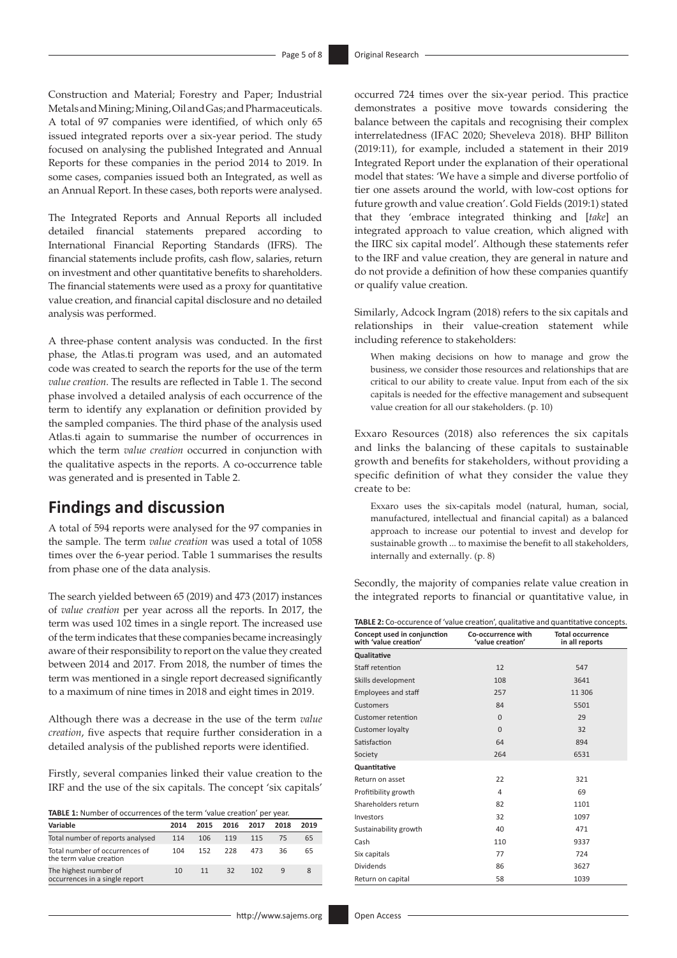Construction and Material; Forestry and Paper; Industrial Metals and Mining; Mining, Oil and Gas; and Pharmaceuticals. A total of 97 companies were identified, of which only 65 issued integrated reports over a six-year period. The study focused on analysing the published Integrated and Annual Reports for these companies in the period 2014 to 2019. In some cases, companies issued both an Integrated, as well as an Annual Report. In these cases, both reports were analysed.

The Integrated Reports and Annual Reports all included detailed financial statements prepared according to International Financial Reporting Standards (IFRS). The financial statements include profits, cash flow, salaries, return on investment and other quantitative benefits to shareholders. The financial statements were used as a proxy for quantitative value creation, and financial capital disclosure and no detailed analysis was performed.

A three-phase content analysis was conducted. In the first phase, the [Atlas.ti](http://Atlas.ti) program was used, and an automated code was created to search the reports for the use of the term *value creation*. The results are reflected in Table 1. The second phase involved a detailed analysis of each occurrence of the term to identify any explanation or definition provided by the sampled companies. The third phase of the analysis used [Atlas.ti](http://Atlas.ti) again to summarise the number of occurrences in which the term *value creation* occurred in conjunction with the qualitative aspects in the reports. A co-occurrence table was generated and is presented in Table 2.

# **Findings and discussion**

A total of 594 reports were analysed for the 97 companies in the sample. The term *value creation* was used a total of 1058 times over the 6-year period. Table 1 summarises the results from phase one of the data analysis.

The search yielded between 65 (2019) and 473 (2017) instances of *value creation* per year across all the reports. In 2017, the term was used 102 times in a single report. The increased use of the term indicates that these companies became increasingly aware of their responsibility to report on the value they created between 2014 and 2017. From 2018, the number of times the term was mentioned in a single report decreased significantly to a maximum of nine times in 2018 and eight times in 2019.

Although there was a decrease in the use of the term *value creation*, five aspects that require further consideration in a detailed analysis of the published reports were identified.

Firstly, several companies linked their value creation to the IRF and the use of the six capitals. The concept 'six capitals'

**TABLE 1:** Number of occurrences of the term 'value creation' per year.

| Variable                                                  | 2014 | 2015 | 2016 | 2017 | 2018 | 2019 |
|-----------------------------------------------------------|------|------|------|------|------|------|
| Total number of reports analysed                          | 114  | 106  | 119  | 115  | 75   | 65   |
| Total number of occurrences of<br>the term value creation | 104  | 152  | 228  | 473  | 36   | 65   |
| The highest number of<br>occurrences in a single report   | 10   | 11   | 32   | 102  | q    |      |

occurred 724 times over the six-year period. This practice demonstrates a positive move towards considering the balance between the capitals and recognising their complex interrelatedness (IFAC 2020; Sheveleva 2018). BHP Billiton (2019:11), for example, included a statement in their 2019 Integrated Report under the explanation of their operational model that states: 'We have a simple and diverse portfolio of tier one assets around the world, with low-cost options for future growth and value creation'. Gold Fields (2019:1) stated that they 'embrace integrated thinking and [*take*] an integrated approach to value creation, which aligned with the IIRC six capital model'. Although these statements refer to the IRF and value creation, they are general in nature and do not provide a definition of how these companies quantify or qualify value creation.

Similarly, Adcock Ingram (2018) refers to the six capitals and relationships in their value-creation statement while including reference to stakeholders:

When making decisions on how to manage and grow the business, we consider those resources and relationships that are critical to our ability to create value. Input from each of the six capitals is needed for the effective management and subsequent value creation for all our stakeholders. (p. 10)

Exxaro Resources (2018) also references the six capitals and links the balancing of these capitals to sustainable growth and benefits for stakeholders, without providing a specific definition of what they consider the value they create to be:

Exxaro uses the six-capitals model (natural, human, social, manufactured, intellectual and financial capital) as a balanced approach to increase our potential to invest and develop for sustainable growth ... to maximise the benefit to all stakeholders, internally and externally. (p. 8)

Secondly, the majority of companies relate value creation in the integrated reports to financial or quantitative value, in

| <b>TABLE 2:</b> Co-occurence of 'value creation', qualitative and quantitative concepts. |                                        |                                           |  |  |  |
|------------------------------------------------------------------------------------------|----------------------------------------|-------------------------------------------|--|--|--|
| Concept used in conjunction<br>with 'value creation'                                     | Co-occurrence with<br>'value creation' | <b>Total occurrence</b><br>in all reports |  |  |  |
| <b>Qualitative</b>                                                                       |                                        |                                           |  |  |  |
| Staff retention                                                                          | 12                                     | 547                                       |  |  |  |
| Skills development                                                                       | 108                                    | 3641                                      |  |  |  |
| <b>Employees and staff</b>                                                               | 257                                    | 11 306                                    |  |  |  |
| Customers                                                                                | 84                                     | 5501                                      |  |  |  |
| <b>Customer retention</b>                                                                | $\Omega$                               | 29                                        |  |  |  |
| <b>Customer loyalty</b>                                                                  | $\Omega$                               | 32                                        |  |  |  |
| Satisfaction                                                                             | 64                                     | 894                                       |  |  |  |
| Society                                                                                  | 264                                    | 6531                                      |  |  |  |
| Quantitative                                                                             |                                        |                                           |  |  |  |
| Return on asset                                                                          | 22                                     | 321                                       |  |  |  |
| Profitibility growth                                                                     | 4                                      | 69                                        |  |  |  |
| Shareholders return                                                                      | 82                                     | 1101                                      |  |  |  |
| Investors                                                                                | 32                                     | 1097                                      |  |  |  |
| Sustainability growth                                                                    | 40                                     | 471                                       |  |  |  |
| Cash                                                                                     | 110                                    | 9337                                      |  |  |  |
| Six capitals                                                                             | 77                                     | 724                                       |  |  |  |
| <b>Dividends</b>                                                                         | 86                                     | 3627                                      |  |  |  |
| Return on capital                                                                        | 58                                     | 1039                                      |  |  |  |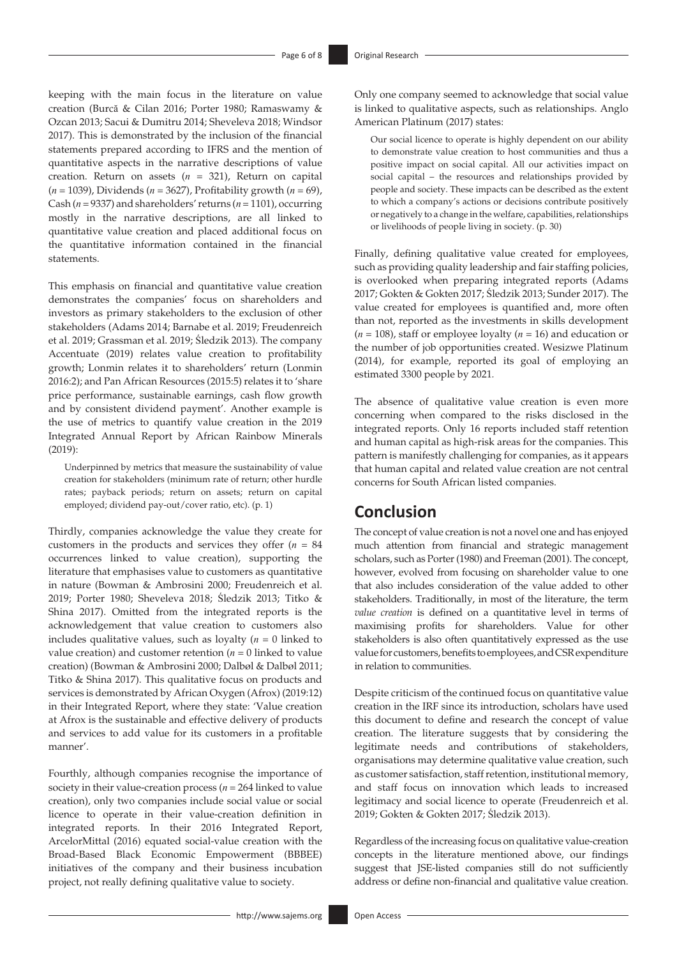keeping with the main focus in the literature on value creation (Burcă & Cilan 2016; Porter 1980; Ramaswamy & Ozcan 2013; Sacui & Dumitru 2014; Sheveleva 2018; Windsor 2017). This is demonstrated by the inclusion of the financial statements prepared according to IFRS and the mention of quantitative aspects in the narrative descriptions of value creation. Return on assets (*n* = 321), Return on capital (*n* = 1039), Dividends (*n* = 3627), Profitability growth (*n* = 69), Cash (*n* = 9337) and shareholders' returns (*n* = 1101), occurring mostly in the narrative descriptions, are all linked to quantitative value creation and placed additional focus on the quantitative information contained in the financial statements.

This emphasis on financial and quantitative value creation demonstrates the companies' focus on shareholders and investors as primary stakeholders to the exclusion of other stakeholders (Adams 2014; Barnabe et al. 2019; Freudenreich et al. 2019; Grassman et al. 2019; Śledzik 2013). The company Accentuate (2019) relates value creation to profitability growth; Lonmin relates it to shareholders' return (Lonmin 2016:2); and Pan African Resources (2015:5) relates it to 'share price performance, sustainable earnings, cash flow growth and by consistent dividend payment'. Another example is the use of metrics to quantify value creation in the 2019 Integrated Annual Report by African Rainbow Minerals (2019):

Underpinned by metrics that measure the sustainability of value creation for stakeholders (minimum rate of return; other hurdle rates; payback periods; return on assets; return on capital employed; dividend pay-out/cover ratio, etc). (p. 1)

Thirdly, companies acknowledge the value they create for customers in the products and services they offer (*n* = 84 occurrences linked to value creation), supporting the literature that emphasises value to customers as quantitative in nature (Bowman & Ambrosini 2000; Freudenreich et al. 2019; Porter 1980; Sheveleva 2018; Śledzik 2013; Titko & Shina 2017). Omitted from the integrated reports is the acknowledgement that value creation to customers also includes qualitative values, such as loyalty (*n* = 0 linked to value creation) and customer retention ( $n = 0$  linked to value creation) (Bowman & Ambrosini 2000; Dalbøl & Dalbøl 2011; Titko & Shina 2017). This qualitative focus on products and services is demonstrated by African Oxygen (Afrox) (2019:12) in their Integrated Report, where they state: 'Value creation at Afrox is the sustainable and effective delivery of products and services to add value for its customers in a profitable manner'.

Fourthly, although companies recognise the importance of society in their value-creation process ( $n = 264$  linked to value creation), only two companies include social value or social licence to operate in their value-creation definition in integrated reports. In their 2016 Integrated Report, ArcelorMittal (2016) equated social-value creation with the Broad-Based Black Economic Empowerment (BBBEE) initiatives of the company and their business incubation project, not really defining qualitative value to society.

Only one company seemed to acknowledge that social value is linked to qualitative aspects, such as relationships. Anglo American Platinum (2017) states:

Our social licence to operate is highly dependent on our ability to demonstrate value creation to host communities and thus a positive impact on social capital. All our activities impact on social capital – the resources and relationships provided by people and society. These impacts can be described as the extent to which a company's actions or decisions contribute positively or negatively to a change in the welfare, capabilities, relationships or livelihoods of people living in society. (p. 30)

Finally, defining qualitative value created for employees, such as providing quality leadership and fair staffing policies, is overlooked when preparing integrated reports (Adams 2017; Gokten & Gokten 2017; Śledzik 2013; Sunder 2017). The value created for employees is quantified and, more often than not, reported as the investments in skills development (*n* = 108), staff or employee loyalty (*n* = 16) and education or the number of job opportunities created. Wesizwe Platinum (2014), for example, reported its goal of employing an estimated 3300 people by 2021*.*

The absence of qualitative value creation is even more concerning when compared to the risks disclosed in the integrated reports. Only 16 reports included staff retention and human capital as high-risk areas for the companies. This pattern is manifestly challenging for companies, as it appears that human capital and related value creation are not central concerns for South African listed companies.

# **Conclusion**

The concept of value creation is not a novel one and has enjoyed much attention from financial and strategic management scholars, such as Porter (1980) and Freeman (2001). The concept, however, evolved from focusing on shareholder value to one that also includes consideration of the value added to other stakeholders. Traditionally, in most of the literature, the term *value creation* is defined on a quantitative level in terms of maximising profits for shareholders. Value for other stakeholders is also often quantitatively expressed as the use value for customers, benefits to employees, and CSR expenditure in relation to communities.

Despite criticism of the continued focus on quantitative value creation in the IRF since its introduction, scholars have used this document to define and research the concept of value creation. The literature suggests that by considering the legitimate needs and contributions of stakeholders, organisations may determine qualitative value creation, such as customer satisfaction, staff retention, institutional memory, and staff focus on innovation which leads to increased legitimacy and social licence to operate (Freudenreich et al. 2019; Gokten & Gokten 2017; Śledzik 2013).

Regardless of the increasing focus on qualitative value-creation concepts in the literature mentioned above, our findings suggest that JSE-listed companies still do not sufficiently address or define non-financial and qualitative value creation.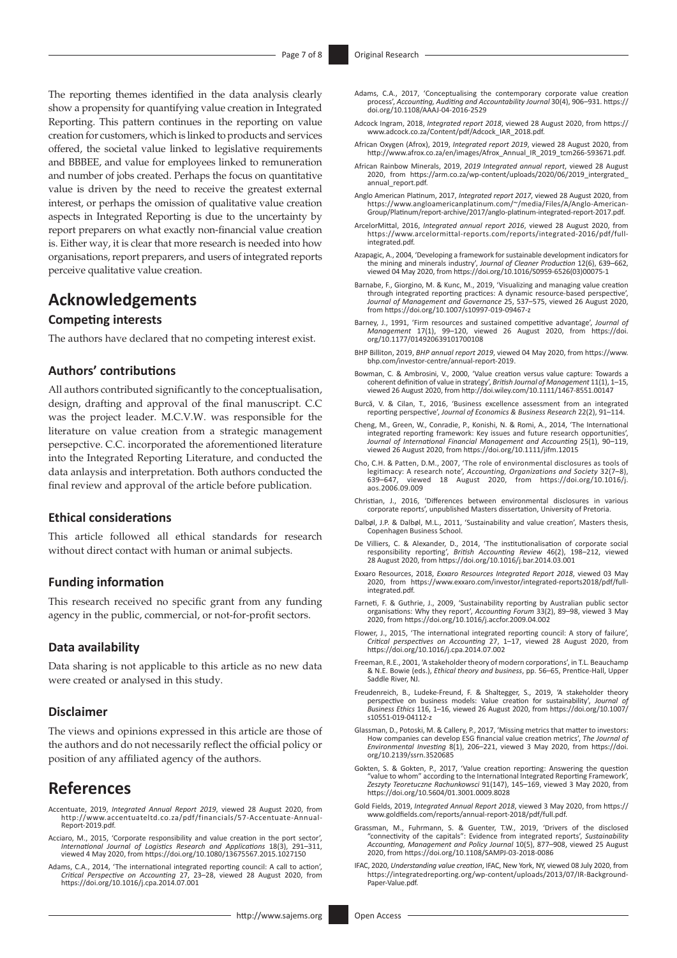The reporting themes identified in the data analysis clearly show a propensity for quantifying value creation in Integrated Reporting. This pattern continues in the reporting on value creation for customers, which is linked to products and services offered, the societal value linked to legislative requirements and BBBEE, and value for employees linked to remuneration and number of jobs created. Perhaps the focus on quantitative value is driven by the need to receive the greatest external interest, or perhaps the omission of qualitative value creation aspects in Integrated Reporting is due to the uncertainty by report preparers on what exactly non-financial value creation is. Either way, it is clear that more research is needed into how organisations, report preparers, and users of integrated reports perceive qualitative value creation.

# **Acknowledgements**

# **Competing interests**

The authors have declared that no competing interest exist.

### **Authors' contributions**

All authors contributed significantly to the conceptualisation, design, drafting and approval of the final manuscript. C.C was the project leader. M.C.V.W. was responsible for the literature on value creation from a strategic management persepctive. C.C. incorporated the aforementioned literature into the Integrated Reporting Literature, and conducted the data anlaysis and interpretation. Both authors conducted the final review and approval of the article before publication.

### **Ethical considerations**

This article followed all ethical standards for research without direct contact with human or animal subjects.

### **Funding information**

This research received no specific grant from any funding agency in the public, commercial, or not-for-profit sectors.

### **Data availability**

Data sharing is not applicable to this article as no new data were created or analysed in this study.

#### **Disclaimer**

The views and opinions expressed in this article are those of the authors and do not necessarily reflect the official policy or position of any affiliated agency of the authors.

# **References**

- Accentuate, 2019, *Integrated Annual Report 2019*, viewed 28 August 2020, from [http://www.accentuateltd.co.za/pdf/financials/57-Accentuate-Annual-](http://www.accentuateltd.co.za/pdf/financials/57-Accentuate-Annual-Report-2019.pdf)[Report-2019.pdf](http://www.accentuateltd.co.za/pdf/financials/57-Accentuate-Annual-Report-2019.pdf).
- Acciaro, M., 2015, 'Corporate responsibility and value creation in the port sector',<br>International Journal of Logistics Research and Applications 18(3), 291–311,<br>viewed 4 May 2020, from https://doi.org/10.1080/13675567.201
- Adams, C.A., 2014, 'The international integrated reporting council: A call to action', *Critical Perspective on Accounting* 27, 23–28, viewed 28 August 2020, from <https://doi.org/10.1016/j.cpa.2014.07.001>
- Adams, C.A., 2017, 'Conceptualising the contemporary corporate value creation process', *Accounting, Auditing and Accountability Journal* 30(4), 906–931. [https://](https://doi.org/10.1108/AAAJ-04-2016-2529) [doi.org/10.1108/AAAJ-04-2016-2529](https://doi.org/10.1108/AAAJ-04-2016-2529)
- Adcock Ingram, 2018, *Integrated report 2018*, viewed 28 August 2020, from [https://](https://www.adcock.co.za/Content/pdf/Adcock_IAR_2018.pdf) [www.adcock.co.za/Content/pdf/Adcock\\_IAR\\_2018.pdf.](https://www.adcock.co.za/Content/pdf/Adcock_IAR_2018.pdf)
- African Oxygen (Afrox), 2019, *Integrated report 2019*, viewed 28 August 2020, from [http://www.afrox.co.za/en/images/Afrox\\_Annual\\_IR\\_2019\\_tcm266-593671.pdf.](http://www.afrox.co.za/en/images/Afrox_Annual_IR_2019_tcm266-593671.pdf)
- African Rainbow Minerals, 2019, *2019 Integrated annual report*, viewed 28 August 2020, from [https://arm.co.za/wp-content/uploads/2020/06/2019\\_intergrated\\_](https://arm.co.za/wp-content/uploads/2020/06/2019_intergrated_annual_report.pdf) annual report.pdf
- Anglo American Platinum, 2017, *Integrated report 2017*, viewed 28 August 2020, from [https://www.angloamericanplatinum.com/~/media/Files/A/Anglo-American-](https://www.angloamericanplatinum.com/~/media/Files/A/Anglo-American-Group/Platinum/report-archive/2017/anglo-platinum-integrated-report-2017.pdf)[Group/Platinum/report-archive/2017/anglo-platinum-integrated-report-2017.pdf](https://www.angloamericanplatinum.com/~/media/Files/A/Anglo-American-Group/Platinum/report-archive/2017/anglo-platinum-integrated-report-2017.pdf).
- ArcelorMittal, 2016, *Integrated annual report 2016*, viewed 28 August 2020, from [https://www.arcelormittal-reports.com/reports/integrated-2016/pdf/full](https://www.arcelormittal-reports.com/reports/integrated-2016/pdf/full-integrated.pdf)[integrated.pdf](https://www.arcelormittal-reports.com/reports/integrated-2016/pdf/full-integrated.pdf).
- Azapagic, A., 2004, 'Developing a framework for sustainable development indicators for the mining and minerals industry', *Journal of Cleaner Production* 12(6), 639–662, viewed 04 May 2020, from [https://doi.org/10.1016/S0959-6526\(03\)00075-1](https://doi.org/10.1016/S0959-6526(03)00075-1)
- Barnabe, F., Giorgino, M. & Kunc, M., 2019, 'Visualizing and managing value creation through integrated reporting practices: A dynamic resource-based perspective', *Journal of Management and Governance* 25, 537–575, viewed 26 August 2020, from<https://doi.org/10.1007/s10997-019-09467-z>
- Barney, J., 1991, 'Firm resources and sustained competitive advantage', *Journal of Management* 17(1), 99–120, viewed 26 August 2020, from [https://doi.](https://doi.org/10.1177/014920639101700108) [org/10.1177/014920639101700108](https://doi.org/10.1177/014920639101700108)
- BHP Billiton, 2019, *BHP annual report 2019*, viewed 04 May 2020, from [https://www.](https://www.bhp.com/investor-centre/annual-report-2019) [bhp.com/investor-centre/annual-report-2019.](https://www.bhp.com/investor-centre/annual-report-2019)
- Bowman, C. & Ambrosini, V., 2000, 'Value creation versus value capture: Towards a coherent definition of value in strategy', *British Journal of Management* 11(1), 1–15, viewed 26 August 2020, from<http://doi.wiley.com/10.1111/1467-8551.00147>
- Burcă, V. & Cilan, T., 2016, 'Business excellence assessment from an integrated reporting perspective', *Journal of Economics & Business Research* 22(2), 91–114.
- Cheng, M., Green, W., Conradie, P., Konishi, N. & Romi, A., 2014, 'The International integrated reporting framework: Key issues and future research opportunities', *Journal of International Financial Management and Accounting* 25(1), 90–119, viewed 26 August 2020, from <https://doi.org/10.1111/jifm.12015>
- Cho, C.H. & Patten, D.M., 2007, 'The role of environmental disclosures as tools of legitimacy: A research note', *Accounting, Organizations and Society* 32(7–8), 639–647, viewed 18 August 2020, from [https://doi.org/10.1016/j.](https://doi.org/10.1016/j.aos.2006.09.009) [aos.2006.09.009](https://doi.org/10.1016/j.aos.2006.09.009)
- Christian, J., 2016, 'Differences between environmental disclosures in various corporate reports', unpublished Masters dissertation, University of Pretoria.
- Dalbøl, J.P. & Dalbøl, M.L., 2011, 'Sustainability and value creation', Masters thesis, Copenhagen Business School.
- De Villiers, C. & Alexander, D., 2014, 'The institutionalisation of corporate social responsibility reporting', *British Accounting Review* 46(2), 198–212, viewed 28 August 2020, from <https://doi.org/10.1016/j.bar.2014.03.001>
- Exxaro Resources, 2018, *Exxaro Resources Integrated Report 2018*, viewed 03 May 2020, from [https://www.exxaro.com/investor/integrated-reports2018/pdf/full](https://www.exxaro.com/investor/integrated-reports2018/pdf/full-integrated.pdf)[integrated.pdf](https://www.exxaro.com/investor/integrated-reports2018/pdf/full-integrated.pdf).
- Farneti, F. & Guthrie, J., 2009, 'Sustainability reporting by Australian public sector organisations: Why they report', *Accounting Forum* 33(2), 89–98, viewed 3 May 2020, from <https://doi.org/10.1016/j.accfor.2009.04.002>
- Flower, J., 2015, 'The international integrated reporting council: A story of failure', *Critical perspectives on Accounting* 27, 1–17, viewed 28 August 2020, from <https://doi.org/10.1016/j.cpa.2014.07.002>
- Freeman, R.E., 2001, 'A stakeholder theory of modern corporations', in T.L. Beauchamp & N.E. Bowie (eds.), *Ethical theory and business*, pp. 56–65, Prentice-Hall, Upper Saddle River, NJ.
- Freudenreich, B., Ludeke-Freund, F. & Shaltegger, S., 2019, 'A stakeholder theory perspective on business models: Value creation for sustainability', *Journal of Business Ethics* 116, 1–16, viewed 26 August 2020, from [https://doi.org/10.1007/](https://doi.org/10.1007/s10551-019-04112-z) [s10551-019-04112-z](https://doi.org/10.1007/s10551-019-04112-z)
- Glassman, D., Potoski, M. & Callery, P., 2017, 'Missing metrics that matter to investors: How companies can develop ESG financial value creation metrics', *The Journal of Environmental Investing* 8(1), 206–221, viewed 3 May 2020, from [https://doi.](https://doi.org/10.2139/ssrn.3520685) [org/10.2139/ssrn.3520685](https://doi.org/10.2139/ssrn.3520685)
- Gokten, S. & Gokten, P., 2017, 'Value creation reporting: Answering the question "value to whom" according to the International Integrated Reporting Framework', *Zeszyty Teoretuczne Rachunkowsci* 91(147), 145–169, viewed 3 May 2020, from <https://doi.org/10.5604/01.3001.0009.8028>
- Gold Fields, 2019, *Integrated Annual Report 2018*, viewed 3 May 2020, from [https://](https://www.goldfields.com/reports/annual-report-2018/pdf/full.pdf) [www.goldfields.com/reports/annual-report-2018/pdf/full.pdf](https://www.goldfields.com/reports/annual-report-2018/pdf/full.pdf).
- Grassman, M., Fuhrmann, S. & Guenter, T.W., 2019, 'Drivers of the disclosed "connectivity of the capitals": Evidence from integrated reports', *Sustainability Accounting, Management and Policy Journal* 10(5), 877–908, viewed 25 August 2020, from <https://doi.org/10.1108/SAMPJ-03-2018-0086>
- IFAC, 2020, *Understanding value creation*, IFAC, New York, NY, viewed 08 July 2020, from [https://integratedreporting.org/wp-content/uploads/2013/07/IR-Background-](https://integratedreporting.org/wp-content/uploads/2013/07/IR-Background-Paper-Value.pdf)[Paper-Value.pdf](https://integratedreporting.org/wp-content/uploads/2013/07/IR-Background-Paper-Value.pdf).